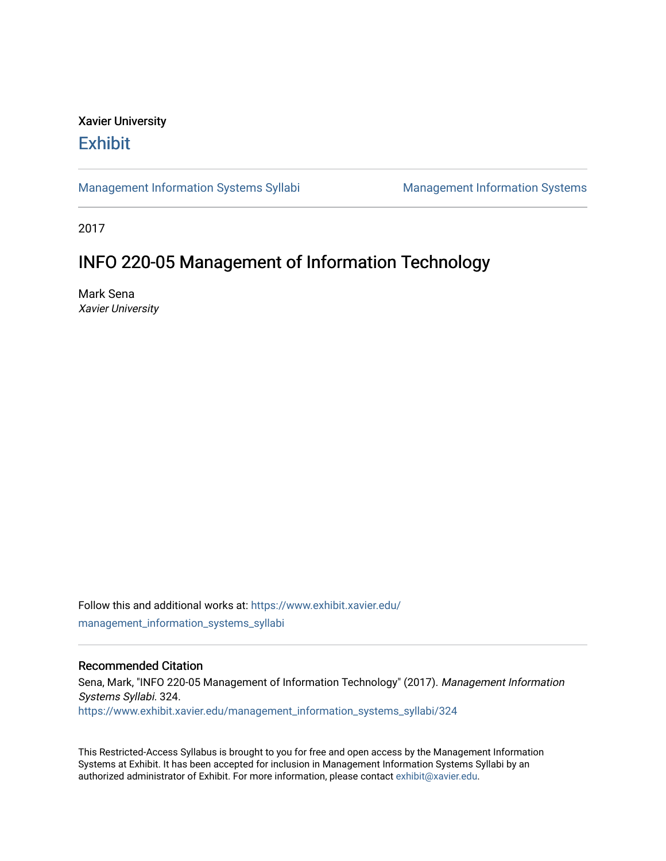# Xavier University **Exhibit**

[Management Information Systems Syllabi](https://www.exhibit.xavier.edu/management_information_systems_syllabi) Management Information Systems

2017

# INFO 220-05 Management of Information Technology

Mark Sena Xavier University

Follow this and additional works at: [https://www.exhibit.xavier.edu/](https://www.exhibit.xavier.edu/management_information_systems_syllabi?utm_source=www.exhibit.xavier.edu%2Fmanagement_information_systems_syllabi%2F324&utm_medium=PDF&utm_campaign=PDFCoverPages) [management\\_information\\_systems\\_syllabi](https://www.exhibit.xavier.edu/management_information_systems_syllabi?utm_source=www.exhibit.xavier.edu%2Fmanagement_information_systems_syllabi%2F324&utm_medium=PDF&utm_campaign=PDFCoverPages) 

# Recommended Citation

Sena, Mark, "INFO 220-05 Management of Information Technology" (2017). Management Information Systems Syllabi. 324. [https://www.exhibit.xavier.edu/management\\_information\\_systems\\_syllabi/324](https://www.exhibit.xavier.edu/management_information_systems_syllabi/324?utm_source=www.exhibit.xavier.edu%2Fmanagement_information_systems_syllabi%2F324&utm_medium=PDF&utm_campaign=PDFCoverPages) 

This Restricted-Access Syllabus is brought to you for free and open access by the Management Information Systems at Exhibit. It has been accepted for inclusion in Management Information Systems Syllabi by an authorized administrator of Exhibit. For more information, please contact [exhibit@xavier.edu](mailto:exhibit@xavier.edu).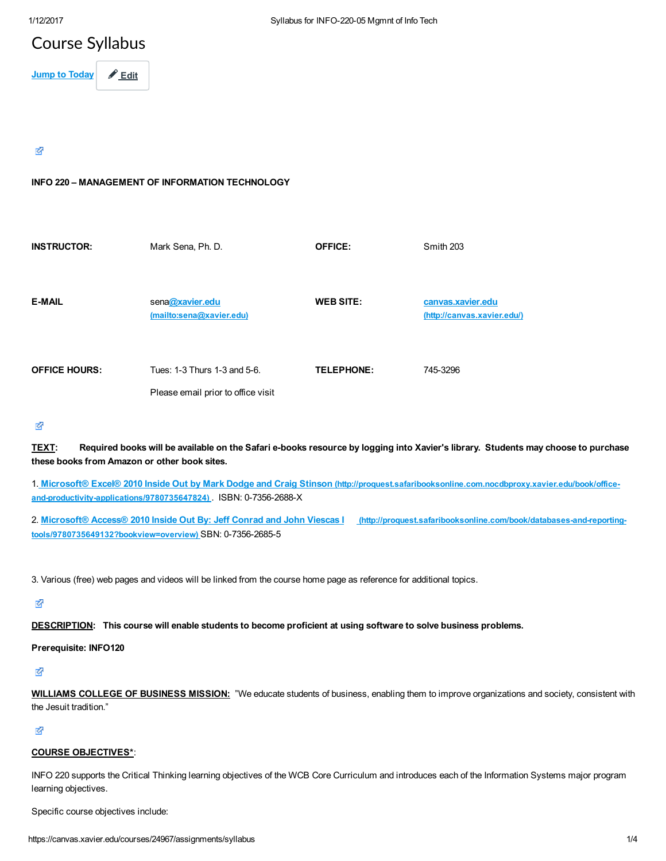# Course Syllabus

Jump to Today  $\theta$  Edit

## 咨

## INFO 220 – MANAGEMENT OF INFORMATION TECHNOLOGY

| <b>INSTRUCTOR:</b>   | Mark Sena, Ph. D.                                                  | <b>OFFICE:</b>    | Smith 203                                        |
|----------------------|--------------------------------------------------------------------|-------------------|--------------------------------------------------|
| <b>E-MAIL</b>        | sena@xavier.edu<br>(mailto:sena@xavier.edu)                        | <b>WEB SITE:</b>  | canvas.xavier.edu<br>(http://canvas.xavier.edu/) |
| <b>OFFICE HOURS:</b> | Tues: 1-3 Thurs 1-3 and 5-6.<br>Please email prior to office visit | <b>TELEPHONE:</b> | 745-3296                                         |

## 密

TEXT: Required books will be available on the Safari e-books resource by logging into Xavier's library. Students may choose to purchase these books from Amazon or other book sites.

1. Microsoft® Excel® 2010 Inside Out by Mark Dodge and Craig Stinson [\(http://proquest.safaribooksonline.com.nocdbproxy.xavier.edu/book/office](http://proquest.safaribooksonline.com.nocdbproxy.xavier.edu/book/office-and-productivity-applications/9780735647824)and-productivity-applications/9780735647824) . ISBN: 0-7356-2688-X

2. Microsoft® Access® 2010 Inside Out By: Jeff Conrad and John Viescas | (http://proquest.safaribooksonline.com/book/databases-and-reportingtools/9780735649132?bookview=overview) SBN: 0-7356-2685-5

3. Various (free) web pages and videos will be linked from the course home page as reference for additional topics.

咨

DESCRIPTION: This course will enable students to become proficient at using software to solve business problems.

#### Prerequisite: INFO120

环

WILLIAMS COLLEGE OF BUSINESS MISSION: "We educate students of business, enabling them to improve organizations and society, consistent with the Jesuit tradition."

咨

#### COURSE OBJECTIVES\*:

INFO 220 supports the Critical Thinking learning objectives of the WCB Core Curriculum and introduces each of the Information Systems major program learning objectives.

Specific course objectives include: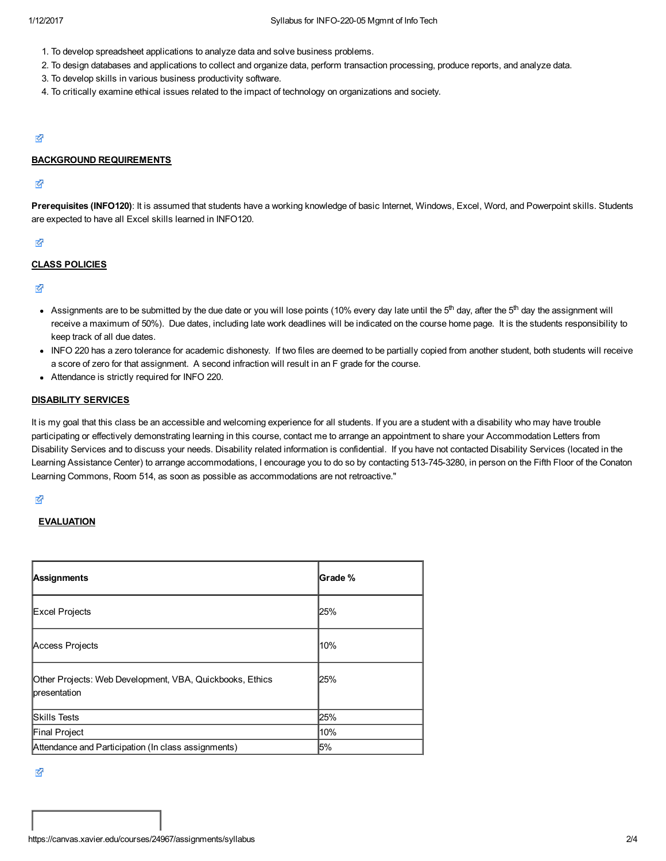- 1. To develop spreadsheet applications to analyze data and solve business problems.
- 2. To design databases and applications to collect and organize data, perform transaction processing, produce reports, and analyze data.
- 3. To develop skills in various business productivity software.
- 4. To critically examine ethical issues related to the impact of technology on organizations and society.

#### Ø

#### BACKGROUND REQUIREMENTS

#### 咨

Prerequisites (INFO120): It is assumed that students have a working knowledge of basic Internet, Windows, Excel, Word, and Powerpoint skills. Students are expected to have all Excel skills learned in INFO120.

#### 环

#### CLASS POLICIES

Ø

- Assignments are to be submitted by the due date or you will lose points (10% every day late until the 5<sup>th</sup> day, after the 5<sup>th</sup> day the assignment will receive a maximum of 50%). Due dates, including late work deadlines will be indicated on the course home page. It is the students responsibility to keep track of all due dates.
- INFO 220 has a zero tolerance for academic dishonesty. If two files are deemed to be partially copied from another student, both students will receive a score of zero for that assignment. A second infraction will result in an F grade for the course.
- Attendance is strictly required for INFO 220.

#### DISABILITY SERVICES

It is my goal that this class be an accessible and welcoming experience for all students. If you are a student with a disability who may have trouble participating or effectively demonstrating learning in this course, contact me to arrange an appointment to share your Accommodation Letters from Disability Services and to discuss your needs. Disability related information is confidential. If you have not contacted Disability Services (located in the Learning Assistance Center) to arrange accommodations, I encourage you to do so by contacting 513-745-3280, in person on the Fifth Floor of the Conaton Learning Commons, Room 514, as soon as possible as accommodations are not retroactive."

#### ∛

#### **EVALUATION**

| Assignments                                                              | Grade % |
|--------------------------------------------------------------------------|---------|
| Excel Projects                                                           | 25%     |
| Access Projects                                                          | 10%     |
| Other Projects: Web Development, VBA, Quickbooks, Ethics<br>presentation | 25%     |
| <b>Skills Tests</b>                                                      | 25%     |
| Final Project                                                            | 10%     |
| Attendance and Participation (In class assignments)                      | 5%      |

咨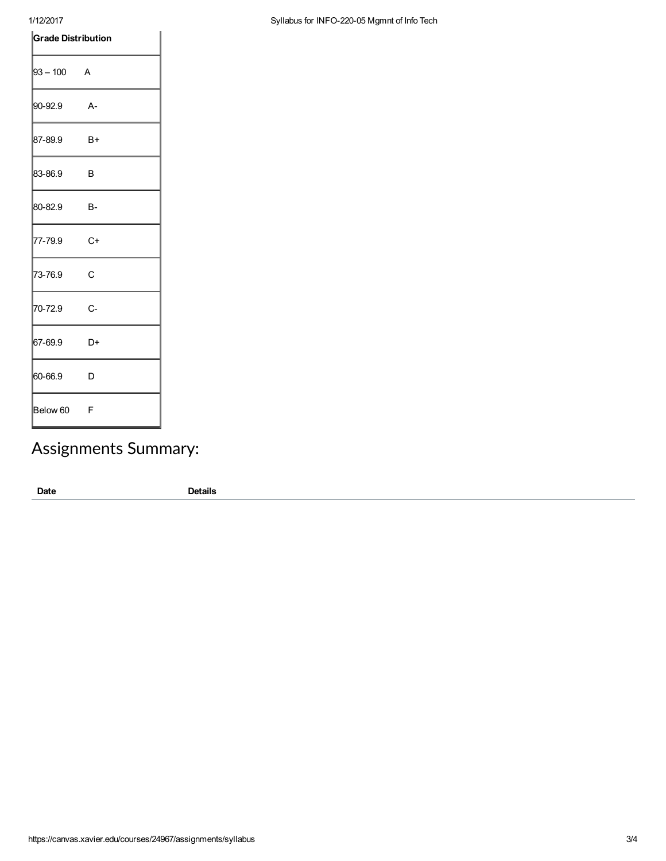## 1/12/2017 Syllabus for INFO-220-05 Mgmnt of Info Tech

| <b>Grade Distribution</b> |      |  |
|---------------------------|------|--|
| $ 93 - 100$ A             |      |  |
| 90-92.9                   | - A- |  |
| 87-89.9                   | $B+$ |  |
| 83-86.9                   | B    |  |
| 80-82.9                   | В-   |  |
| 77-79.9                   | C+   |  |
| 73-76.9                   | C    |  |
| 70-72.9                   | C-   |  |
| 67-69.9                   | D+   |  |
| 60-66.9                   | D    |  |
| Below 60                  | F    |  |

# Assignments Summary:

Date Details